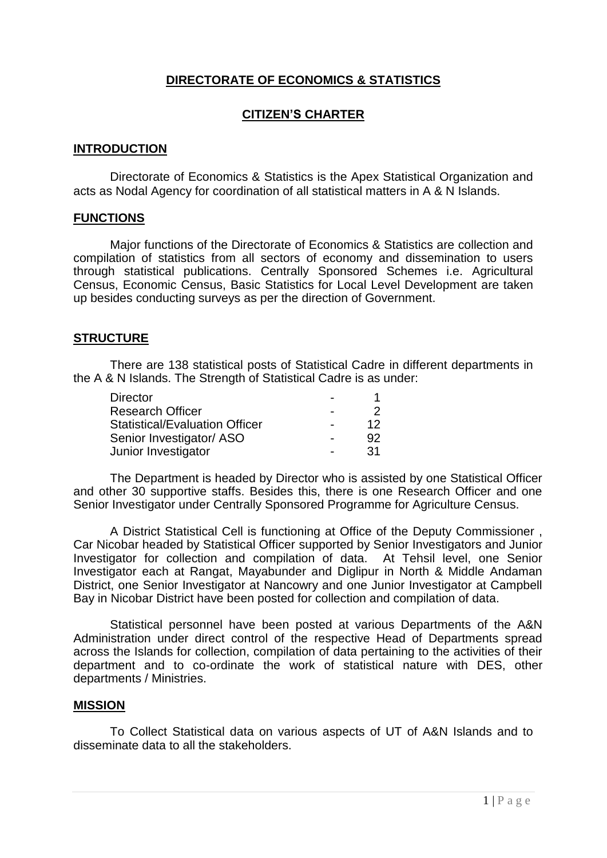# **DIRECTORATE OF ECONOMICS & STATISTICS**

# **CITIZEN'S CHARTER**

#### **INTRODUCTION**

Directorate of Economics & Statistics is the Apex Statistical Organization and acts as Nodal Agency for coordination of all statistical matters in A & N Islands.

#### **FUNCTIONS**

Major functions of the Directorate of Economics & Statistics are collection and compilation of statistics from all sectors of economy and dissemination to users through statistical publications. Centrally Sponsored Schemes i.e. Agricultural Census, Economic Census, Basic Statistics for Local Level Development are taken up besides conducting surveys as per the direction of Government.

#### **STRUCTURE**

There are 138 statistical posts of Statistical Cadre in different departments in the A & N Islands. The Strength of Statistical Cadre is as under:

| <b>Director</b>                       |     |
|---------------------------------------|-----|
| <b>Research Officer</b>               | 2   |
| <b>Statistical/Evaluation Officer</b> | 12  |
| Senior Investigator/ ASO              | 92  |
| Junior Investigator                   | -31 |

The Department is headed by Director who is assisted by one Statistical Officer and other 30 supportive staffs. Besides this, there is one Research Officer and one Senior Investigator under Centrally Sponsored Programme for Agriculture Census.

A District Statistical Cell is functioning at Office of the Deputy Commissioner , Car Nicobar headed by Statistical Officer supported by Senior Investigators and Junior Investigator for collection and compilation of data. At Tehsil level, one Senior Investigator each at Rangat, Mayabunder and Diglipur in North & Middle Andaman District, one Senior Investigator at Nancowry and one Junior Investigator at Campbell Bay in Nicobar District have been posted for collection and compilation of data.

Statistical personnel have been posted at various Departments of the A&N Administration under direct control of the respective Head of Departments spread across the Islands for collection, compilation of data pertaining to the activities of their department and to co-ordinate the work of statistical nature with DES, other departments / Ministries.

#### **MISSION**

To Collect Statistical data on various aspects of UT of A&N Islands and to disseminate data to all the stakeholders.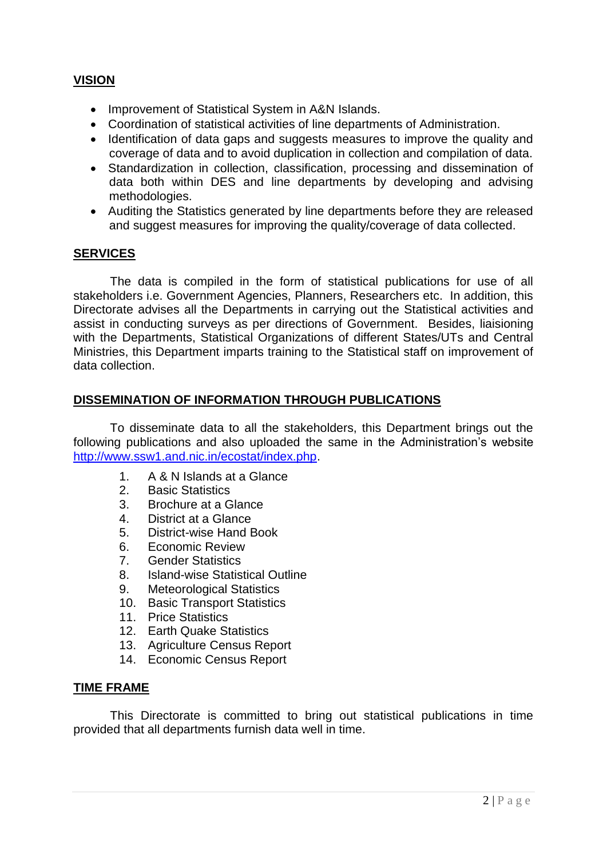# **VISION**

- Improvement of Statistical System in A&N Islands.
- Coordination of statistical activities of line departments of Administration.
- Identification of data gaps and suggests measures to improve the quality and coverage of data and to avoid duplication in collection and compilation of data.
- Standardization in collection, classification, processing and dissemination of data both within DES and line departments by developing and advising methodologies.
- Auditing the Statistics generated by line departments before they are released and suggest measures for improving the quality/coverage of data collected.

# **SERVICES**

The data is compiled in the form of statistical publications for use of all stakeholders i.e. Government Agencies, Planners, Researchers etc. In addition, this Directorate advises all the Departments in carrying out the Statistical activities and assist in conducting surveys as per directions of Government. Besides, liaisioning with the Departments, Statistical Organizations of different States/UTs and Central Ministries, this Department imparts training to the Statistical staff on improvement of data collection.

## **DISSEMINATION OF INFORMATION THROUGH PUBLICATIONS**

To disseminate data to all the stakeholders, this Department brings out the following publications and also uploaded the same in the Administration's website [http://www.ssw1.and.nic.in/ecostat/index.php.](http://www.ssw1.and.nic.in/ecostat/index.php)

- 1. A & N Islands at a Glance
- 2. Basic Statistics
- 3. Brochure at a Glance
- 4. District at a Glance
- 5. District-wise Hand Book
- 6. Economic Review
- 7. Gender Statistics
- 8. Island-wise Statistical Outline
- 9. Meteorological Statistics
- 10. Basic Transport Statistics
- 11. Price Statistics
- 12. Earth Quake Statistics
- 13. Agriculture Census Report
- 14. Economic Census Report

## **TIME FRAME**

This Directorate is committed to bring out statistical publications in time provided that all departments furnish data well in time.